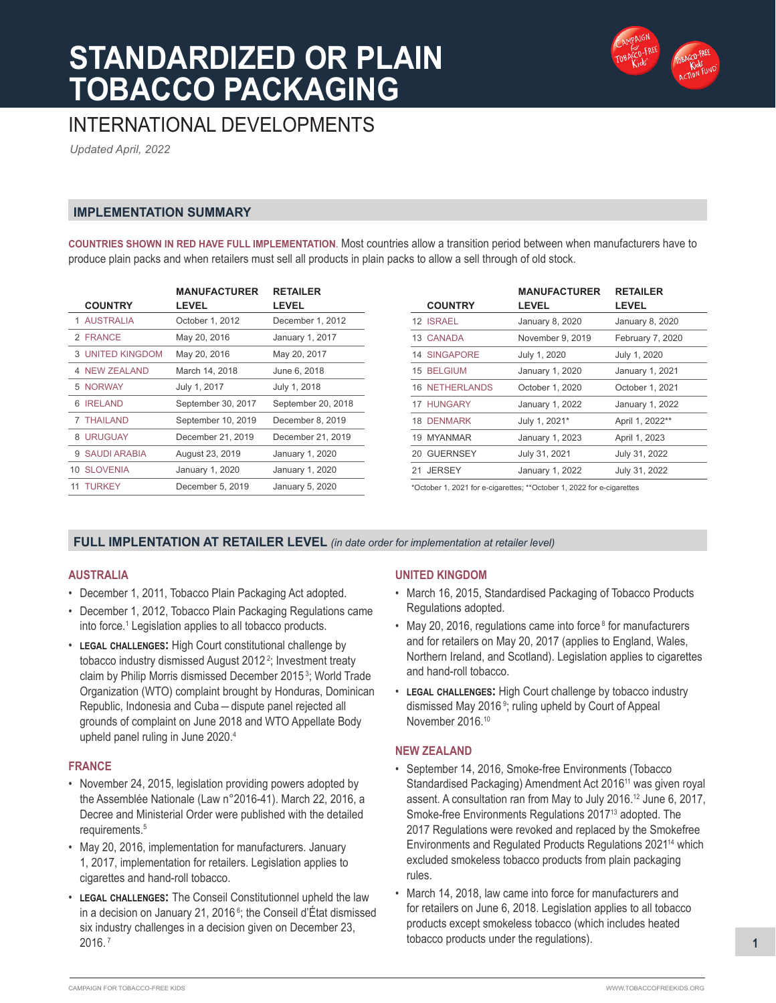# **STANDARDIZED OR PLAIN TOBACCO PACKAGING**



# INTERNATIONAL DEVELOPMENTS

*Updated April, 2022*

# **IMPLEMENTATION SUMMARY**

**COUNTRIES SHOWN IN RED HAVE FULL IMPLEMENTATION**. Most countries allow a transition period between when manufacturers have to produce plain packs and when retailers must sell all products in plain packs to allow a sell through of old stock.

|   |                         | <b>MANUFACTURER</b> | <b>RETAILER</b>    |
|---|-------------------------|---------------------|--------------------|
|   | <b>COUNTRY</b>          | <b>LEVEL</b>        | <b>LEVEL</b>       |
|   | 1 AUSTRALIA             | October 1, 2012     | December 1, 2012   |
|   | 2 FRANCE                | May 20, 2016        | January 1, 2017    |
|   | <b>3 UNITED KINGDOM</b> | May 20, 2016        | May 20, 2017       |
|   | 4 NEW ZEALAND           | March 14, 2018      | June 6, 2018       |
|   | 5 NORWAY                | July 1, 2017        | July 1, 2018       |
| 6 | <b>IRELAND</b>          | September 30, 2017  | September 20, 2018 |
|   | 7 THAILAND              | September 10, 2019  | December 8, 2019   |
|   | 8 URUGUAY               | December 21, 2019   | December 21, 2019  |
| 9 | <b>SAUDI ARABIA</b>     | August 23, 2019     | January 1, 2020    |
|   | <b>10 SLOVENIA</b>      | January 1, 2020     | January 1, 2020    |
|   | <b>11 TURKEY</b>        | December 5, 2019    | January 5, 2020    |

| <b>COUNTRY</b>        | <b>MANUFACTURER</b><br><b>LEVEL</b> | <b>RETAILER</b><br><b>LEVEL</b> |
|-----------------------|-------------------------------------|---------------------------------|
|                       |                                     |                                 |
| 12 ISRAEL             | January 8, 2020                     | January 8, 2020                 |
| 13 CANADA             | November 9, 2019                    | February 7, 2020                |
| <b>14 SINGAPORE</b>   | July 1, 2020                        | July 1, 2020                    |
| <b>15 BELGIUM</b>     | January 1, 2020                     | January 1, 2021                 |
| <b>16 NETHERLANDS</b> | October 1, 2020                     | October 1, 2021                 |
| <b>17 HUNGARY</b>     | January 1, 2022                     | January 1, 2022                 |
| <b>18 DENMARK</b>     | July 1, 2021*                       | April 1, 2022**                 |
| 19 MYANMAR            | January 1, 2023                     | April 1, 2023                   |
| 20 GUERNSEY           | July 31, 2021                       | July 31, 2022                   |
| 21 JERSEY             | January 1, 2022                     | July 31, 2022                   |
|                       |                                     |                                 |

\*October 1, 2021 for e-cigarettes; \*\*October 1, 2022 for e-cigarettes

# **FULL IMPLENTATION AT RETAILER LEVEL** *(in date order for implementation at retailer level)*

# **AUSTRALIA**

- December 1, 2011, Tobacco Plain Packaging Act adopted.
- December 1, 2012, Tobacco Plain Packaging Regulations came into force.<sup>1</sup> Legislation applies to all tobacco products.
- **legal challenges:** High Court constitutional challenge by tobacco industry dismissed August 2012<sup>2</sup>; Investment treaty claim by Philip Morris dismissed December 2015 3; World Trade Organization (WTO) complaint brought by Honduras, Dominican Republic, Indonesia and Cuba — dispute panel rejected all grounds of complaint on June 2018 and WTO Appellate Body upheld panel ruling in June 2020.4

# **FRANCE**

- November 24, 2015, legislation providing powers adopted by the Assemblée Nationale (Law n°2016-41). March 22, 2016, a Decree and Ministerial Order were published with the detailed requirements.5
- May 20, 2016, implementation for manufacturers. January 1, 2017, implementation for retailers. Legislation applies to cigarettes and hand-roll tobacco.
- **legal challenges:** The Conseil Constitutionnel upheld the law in a decision on January 21, 2016 6; the Conseil d'État dismissed six industry challenges in a decision given on December 23, 2016. 7

# **UNITED KINGDOM**

- March 16, 2015, Standardised Packaging of Tobacco Products Regulations adopted.
- May 20, 2016, regulations came into force<sup>8</sup> for manufacturers and for retailers on May 20, 2017 (applies to England, Wales, Northern Ireland, and Scotland). Legislation applies to cigarettes and hand-roll tobacco.
- **legal challenges:** High Court challenge by tobacco industry dismissed May 2016 9; ruling upheld by Court of Appeal November 2016.<sup>10</sup>

# **NEW ZEALAND**

- September 14, 2016, Smoke-free Environments (Tobacco Standardised Packaging) Amendment Act 2016<sup>11</sup> was given royal assent. A consultation ran from May to July 2016.12 June 6, 2017, Smoke-free Environments Regulations 201713 adopted. The 2017 Regulations were revoked and replaced by the Smokefree Environments and Regulated Products Regulations 202114 which excluded smokeless tobacco products from plain packaging rules.
- March 14, 2018, law came into force for manufacturers and for retailers on June 6, 2018. Legislation applies to all tobacco products except smokeless tobacco (which includes heated tobacco products under the regulations).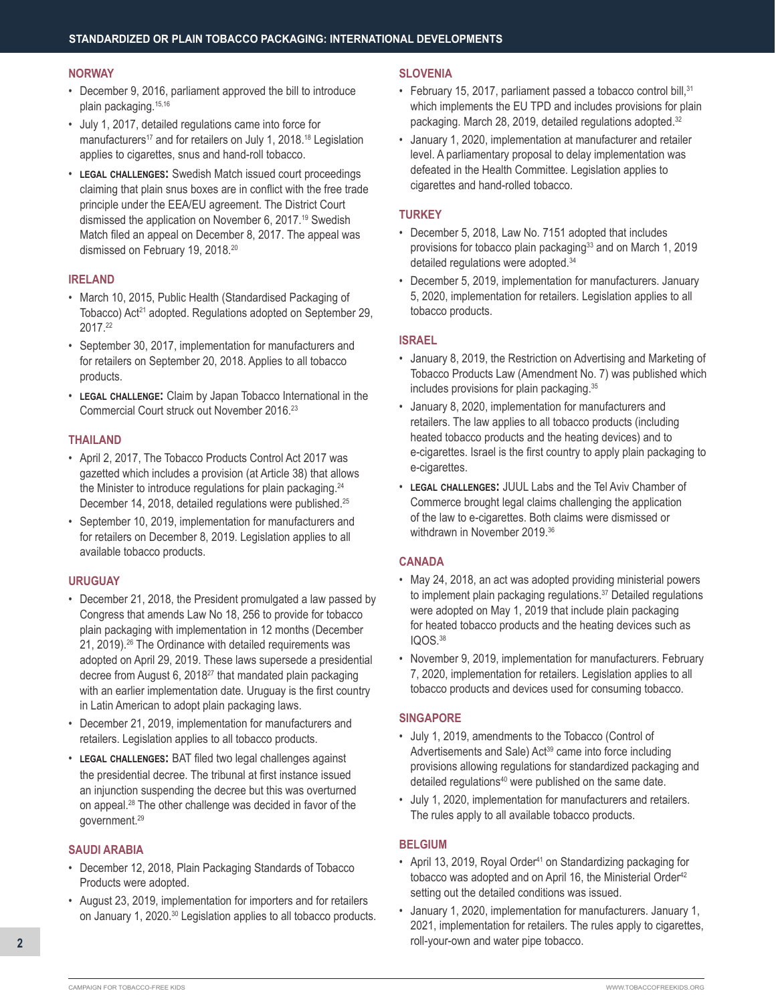## **NORWAY**

- December 9, 2016, parliament approved the bill to introduce plain packaging.15,16
- July 1, 2017, detailed regulations came into force for manufacturers<sup>17</sup> and for retailers on July 1, 2018.<sup>18</sup> Legislation applies to cigarettes, snus and hand-roll tobacco.
- **legal challenges:** Swedish Match issued court proceedings claiming that plain snus boxes are in conflict with the free trade principle under the EEA/EU agreement. The District Court dismissed the application on November 6, 2017.19 Swedish Match filed an appeal on December 8, 2017. The appeal was dismissed on February 19, 2018.<sup>20</sup>

# **IRELAND**

- March 10, 2015, Public Health (Standardised Packaging of Tobacco) Act<sup>21</sup> adopted. Regulations adopted on September 29, 2017.22
- September 30, 2017, implementation for manufacturers and for retailers on September 20, 2018. Applies to all tobacco products.
- **legal challenge:** Claim by Japan Tobacco International in the Commercial Court struck out November 2016.23

## **THAILAND**

- April 2, 2017, The Tobacco Products Control Act 2017 was gazetted which includes a provision (at Article 38) that allows the Minister to introduce regulations for plain packaging.<sup>24</sup> December 14, 2018, detailed regulations were published.<sup>25</sup>
- September 10, 2019, implementation for manufacturers and for retailers on December 8, 2019. Legislation applies to all available tobacco products.

# **URUGUAY**

- December 21, 2018, the President promulgated a law passed by Congress that amends Law No 18, 256 to provide for tobacco plain packaging with implementation in 12 months (December 21, 2019).26 The Ordinance with detailed requirements was adopted on April 29, 2019. These laws supersede a presidential decree from August 6, 2018 $^{27}$  that mandated plain packaging with an earlier implementation date. Uruguay is the first country in Latin American to adopt plain packaging laws.
- December 21, 2019, implementation for manufacturers and retailers. Legislation applies to all tobacco products.
- **legal challenges:** BAT filed two legal challenges against the presidential decree. The tribunal at first instance issued an injunction suspending the decree but this was overturned on appeal.28 The other challenge was decided in favor of the government.29

#### **SAUDI ARABIA**

- December 12, 2018, Plain Packaging Standards of Tobacco Products were adopted.
- August 23, 2019, implementation for importers and for retailers on January 1, 2020.<sup>30</sup> Legislation applies to all tobacco products.

# **SLOVENIA**

- February 15, 2017, parliament passed a tobacco control bill, 31 which implements the EU TPD and includes provisions for plain packaging. March 28, 2019, detailed regulations adopted.<sup>32</sup>
- January 1, 2020, implementation at manufacturer and retailer level. A parliamentary proposal to delay implementation was defeated in the Health Committee. Legislation applies to cigarettes and hand-rolled tobacco.

# **TURKEY**

- December 5, 2018, Law No. 7151 adopted that includes provisions for tobacco plain packaging<sup>33</sup> and on March 1, 2019 detailed regulations were adopted.<sup>34</sup>
- December 5, 2019, implementation for manufacturers. January 5, 2020, implementation for retailers. Legislation applies to all tobacco products.

# **ISRAEL**

- January 8, 2019, the Restriction on Advertising and Marketing of Tobacco Products Law (Amendment No. 7) was published which includes provisions for plain packaging.<sup>35</sup>
- January 8, 2020, implementation for manufacturers and retailers. The law applies to all tobacco products (including heated tobacco products and the heating devices) and to e-cigarettes. Israel is the first country to apply plain packaging to e-cigarettes.
- **legal challenges:** JUUL Labs and the Tel Aviv Chamber of Commerce brought legal claims challenging the application of the law to e-cigarettes. Both claims were dismissed or withdrawn in November 2019.<sup>36</sup>

# **CANADA**

- May 24, 2018, an act was adopted providing ministerial powers to implement plain packaging regulations. $37$  Detailed regulations were adopted on May 1, 2019 that include plain packaging for heated tobacco products and the heating devices such as IQOS.38
- November 9, 2019, implementation for manufacturers. February 7, 2020, implementation for retailers. Legislation applies to all tobacco products and devices used for consuming tobacco.

# **SINGAPORE**

- July 1, 2019, amendments to the Tobacco (Control of Advertisements and Sale) Act<sup>39</sup> came into force including provisions allowing regulations for standardized packaging and detailed regulations<sup>40</sup> were published on the same date.
- July 1, 2020, implementation for manufacturers and retailers. The rules apply to all available tobacco products.

# **BELGIUM**

- April 13, 2019, Royal Order<sup>41</sup> on Standardizing packaging for tobacco was adopted and on April 16, the Ministerial Order $42$ setting out the detailed conditions was issued.
- January 1, 2020, implementation for manufacturers. January 1, 2021, implementation for retailers. The rules apply to cigarettes, roll-your-own and water pipe tobacco.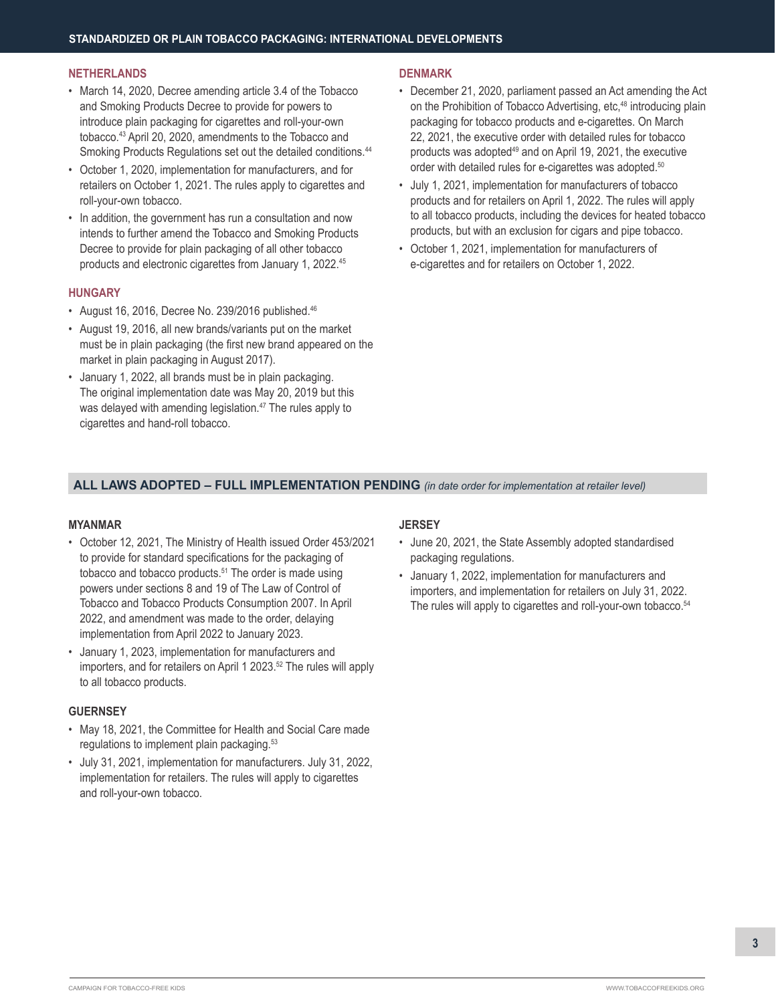#### **NETHERLANDS**

- March 14, 2020, Decree amending article 3.4 of the Tobacco and Smoking Products Decree to provide for powers to introduce plain packaging for cigarettes and roll-your-own tobacco.43 April 20, 2020, amendments to the Tobacco and Smoking Products Regulations set out the detailed conditions.<sup>44</sup>
- October 1, 2020, implementation for manufacturers, and for retailers on October 1, 2021. The rules apply to cigarettes and roll-your-own tobacco.
- In addition, the government has run a consultation and now intends to further amend the Tobacco and Smoking Products Decree to provide for plain packaging of all other tobacco products and electronic cigarettes from January 1, 2022.45

#### **HUNGARY**

- August 16, 2016, Decree No. 239/2016 published.46
- August 19, 2016, all new brands/variants put on the market must be in plain packaging (the first new brand appeared on the market in plain packaging in August 2017).
- January 1, 2022, all brands must be in plain packaging. The original implementation date was May 20, 2019 but this was delayed with amending legislation.<sup>47</sup> The rules apply to cigarettes and hand-roll tobacco.

#### **DENMARK**

- December 21, 2020, parliament passed an Act amending the Act on the Prohibition of Tobacco Advertising, etc,<sup>48</sup> introducing plain packaging for tobacco products and e-cigarettes. On March 22, 2021, the executive order with detailed rules for tobacco products was adopted<sup>49</sup> and on April 19, 2021, the executive order with detailed rules for e-cigarettes was adopted.<sup>50</sup>
- July 1, 2021, implementation for manufacturers of tobacco products and for retailers on April 1, 2022. The rules will apply to all tobacco products, including the devices for heated tobacco products, but with an exclusion for cigars and pipe tobacco.
- October 1, 2021, implementation for manufacturers of e-cigarettes and for retailers on October 1, 2022.

## **ALL LAWS ADOPTED – FULL IMPLEMENTATION PENDING** *(in date order for implementation at retailer level)*

#### **MYANMAR**

- October 12, 2021, The Ministry of Health issued Order 453/2021 to provide for standard specifications for the packaging of tobacco and tobacco products.<sup>51</sup> The order is made using powers under sections 8 and 19 of The Law of Control of Tobacco and Tobacco Products Consumption 2007. In April 2022, and amendment was made to the order, delaying implementation from April 2022 to January 2023.
- January 1, 2023, implementation for manufacturers and importers, and for retailers on April 1 2023.<sup>52</sup> The rules will apply to all tobacco products.

#### **GUERNSEY**

- May 18, 2021, the Committee for Health and Social Care made regulations to implement plain packaging.<sup>53</sup>
- July 31, 2021, implementation for manufacturers. July 31, 2022, implementation for retailers. The rules will apply to cigarettes and roll-your-own tobacco.

#### **JERSEY**

- June 20, 2021, the State Assembly adopted standardised packaging regulations.
- January 1, 2022, implementation for manufacturers and importers, and implementation for retailers on July 31, 2022. The rules will apply to cigarettes and roll-your-own tobacco.<sup>54</sup>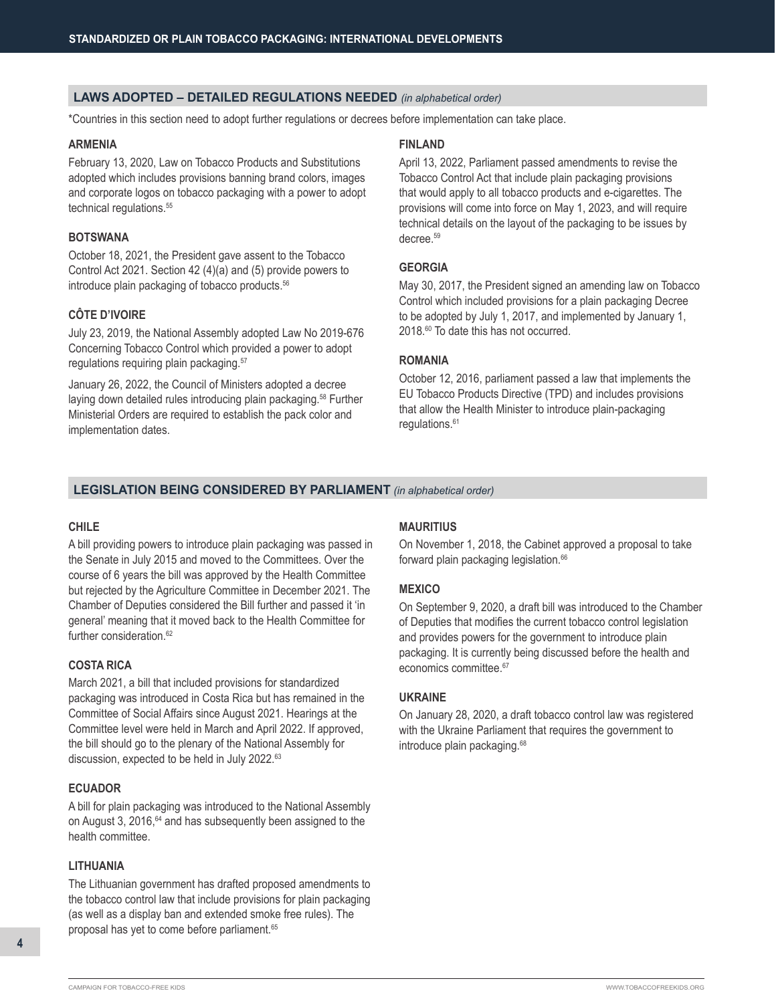# **LAWS ADOPTED – DETAILED REGULATIONS NEEDED** *(in alphabetical order)*

\*Countries in this section need to adopt further regulations or decrees before implementation can take place.

#### **ARMENIA**

February 13, 2020, Law on Tobacco Products and Substitutions adopted which includes provisions banning brand colors, images and corporate logos on tobacco packaging with a power to adopt technical regulations.<sup>55</sup>

#### **BOTSWANA**

October 18, 2021, the President gave assent to the Tobacco Control Act 2021. Section 42 (4)(a) and (5) provide powers to introduce plain packaging of tobacco products.<sup>56</sup>

#### **CÔTE D'IVOIRE**

July 23, 2019, the National Assembly adopted Law No 2019-676 Concerning Tobacco Control which provided a power to adopt regulations requiring plain packaging.57

January 26, 2022, the Council of Ministers adopted a decree laying down detailed rules introducing plain packaging.<sup>58</sup> Further Ministerial Orders are required to establish the pack color and implementation dates.

#### **FINLAND**

April 13, 2022, Parliament passed amendments to revise the Tobacco Control Act that include plain packaging provisions that would apply to all tobacco products and e-cigarettes. The provisions will come into force on May 1, 2023, and will require technical details on the layout of the packaging to be issues by decree.59

#### **GEORGIA**

May 30, 2017, the President signed an amending law on Tobacco Control which included provisions for a plain packaging Decree to be adopted by July 1, 2017, and implemented by January 1, 2018.<sup>60</sup> To date this has not occurred.

#### **ROMANIA**

October 12, 2016, parliament passed a law that implements the EU Tobacco Products Directive (TPD) and includes provisions that allow the Health Minister to introduce plain-packaging regulations.61

#### **LEGISLATION BEING CONSIDERED BY PARLIAMENT** *(in alphabetical order)*

# **CHILE**

A bill providing powers to introduce plain packaging was passed in the Senate in July 2015 and moved to the Committees. Over the course of 6 years the bill was approved by the Health Committee but rejected by the Agriculture Committee in December 2021. The Chamber of Deputies considered the Bill further and passed it 'in general' meaning that it moved back to the Health Committee for further consideration.<sup>62</sup>

#### **COSTA RICA**

March 2021, a bill that included provisions for standardized packaging was introduced in Costa Rica but has remained in the Committee of Social Affairs since August 2021. Hearings at the Committee level were held in March and April 2022. If approved, the bill should go to the plenary of the National Assembly for discussion, expected to be held in July 2022.63

#### **ECUADOR**

A bill for plain packaging was introduced to the National Assembly on August 3, 2016,<sup>64</sup> and has subsequently been assigned to the health committee.

# **LITHUANIA**

The Lithuanian government has drafted proposed amendments to the tobacco control law that include provisions for plain packaging (as well as a display ban and extended smoke free rules). The proposal has yet to come before parliament.<sup>65</sup>

#### **MAURITIUS**

On November 1, 2018, the Cabinet approved a proposal to take forward plain packaging legislation.<sup>66</sup>

#### **MEXICO**

On September 9, 2020, a draft bill was introduced to the Chamber of Deputies that modifies the current tobacco control legislation and provides powers for the government to introduce plain packaging. It is currently being discussed before the health and economics committee.<sup>67</sup>

#### **UKRAINE**

On January 28, 2020, a draft tobacco control law was registered with the Ukraine Parliament that requires the government to introduce plain packaging.<sup>68</sup>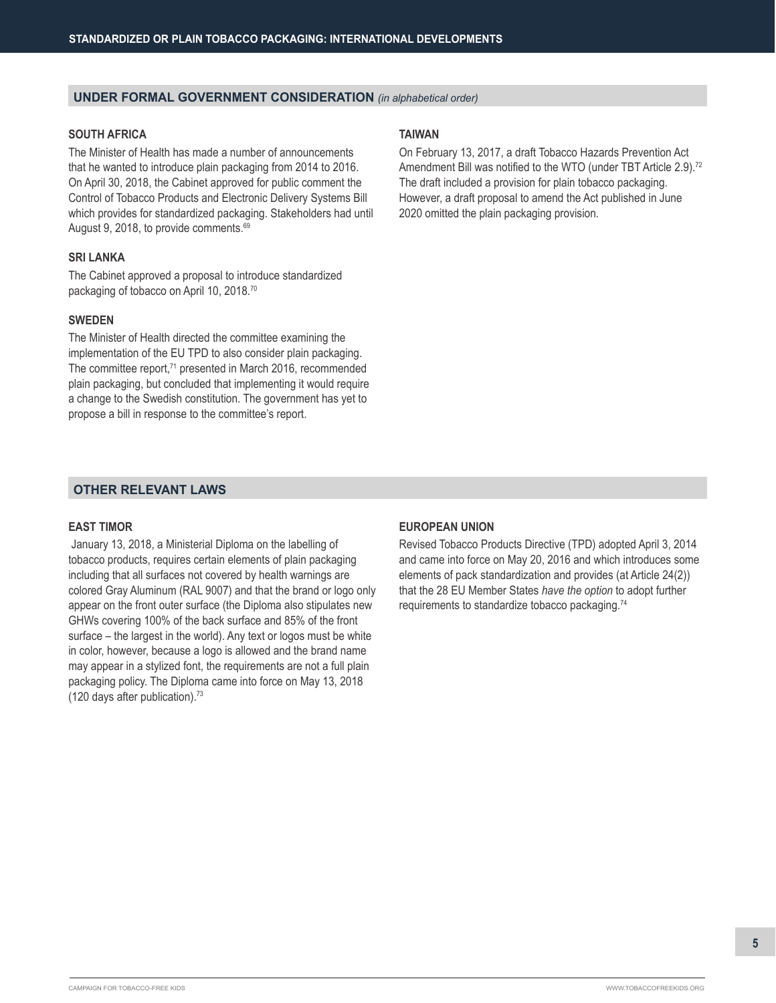# **UNDER FORMAL GOVERNMENT CONSIDERATION** *(in alphabetical order)*

# **SOUTH AFRICA**

The Minister of Health has made a number of announcements that he wanted to introduce plain packaging from 2014 to 2016. On April 30, 2018, the Cabinet approved for public comment the Control of Tobacco Products and Electronic Delivery Systems Bill which provides for standardized packaging. Stakeholders had until August 9, 2018, to provide comments.<sup>69</sup>

# **SRI LANKA**

The Cabinet approved a proposal to introduce standardized packaging of tobacco on April 10, 2018.70

#### **SWEDEN**

The Minister of Health directed the committee examining the implementation of the EU TPD to also consider plain packaging. The committee report,<sup>71</sup> presented in March 2016, recommended plain packaging, but concluded that implementing it would require a change to the Swedish constitution. The government has yet to propose a bill in response to the committee's report.

#### **TAIWAN**

On February 13, 2017, a draft Tobacco Hazards Prevention Act Amendment Bill was notified to the WTO (under TBT Article 2.9).<sup>72</sup> The draft included a provision for plain tobacco packaging. However, a draft proposal to amend the Act published in June 2020 omitted the plain packaging provision.

# **OTHER RELEVANT LAWS**

# **EAST TIMOR**

 January 13, 2018, a Ministerial Diploma on the labelling of tobacco products, requires certain elements of plain packaging including that all surfaces not covered by health warnings are colored Gray Aluminum (RAL 9007) and that the brand or logo only appear on the front outer surface (the Diploma also stipulates new GHWs covering 100% of the back surface and 85% of the front surface – the largest in the world). Any text or logos must be white in color, however, because a logo is allowed and the brand name may appear in a stylized font, the requirements are not a full plain packaging policy. The Diploma came into force on May 13, 2018 (120 days after publication).73

#### **EUROPEAN UNION**

Revised Tobacco Products Directive (TPD) adopted April 3, 2014 and came into force on May 20, 2016 and which introduces some elements of pack standardization and provides (at Article 24(2)) that the 28 EU Member States *have the option* to adopt further requirements to standardize tobacco packaging.74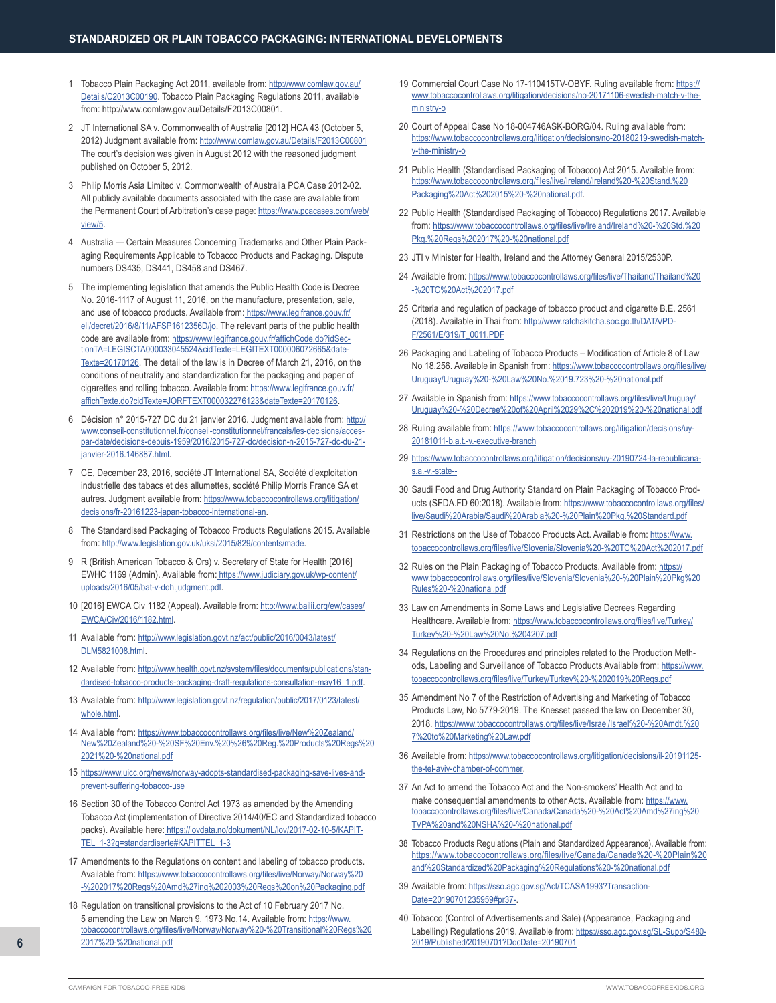- 1 Tobacco Plain Packaging Act 2011, available from: [http://www.comlaw.gov.au/](http://www.comlaw.gov.au/Details/C2013C00190) [Details/C2013C00190](http://www.comlaw.gov.au/Details/C2013C00190). Tobacco Plain Packaging Regulations 2011, available from: http://www.comlaw.gov.au/Details/F2013C00801.
- 2 JT International SA v. Commonwealth of Australia [2012] HCA 43 (October 5, 2012) Judgment available from: <http://www.comlaw.gov.au/Details/F2013C00801> The court's decision was given in August 2012 with the reasoned judgment published on October 5, 2012.
- 3 Philip Morris Asia Limited v. Commonwealth of Australia PCA Case 2012-02. All publicly available documents associated with the case are available from the Permanent Court of Arbitration's case page: [https://www.pcacases.com/web/](https://www.pcacases.com/web/view/5) [view/5](https://www.pcacases.com/web/view/5).
- 4 Australia Certain Measures Concerning Trademarks and Other Plain Packaging Requirements Applicable to Tobacco Products and Packaging. Dispute numbers DS435, DS441, DS458 and DS467.
- 5 The implementing legislation that amends the Public Health Code is Decree No. 2016-1117 of August 11, 2016, on the manufacture, presentation, sale, and use of tobacco products. Available from: [https://www.legifrance.gouv.fr/]( https://www.legifrance.gouv.fr/eli/decret/2016/8/11/AFSP1612356D/jo) [eli/decret/2016/8/11/AFSP1612356D/jo]( https://www.legifrance.gouv.fr/eli/decret/2016/8/11/AFSP1612356D/jo). The relevant parts of the public health code are available from: [https://www.legifrance.gouv.fr/affichCode.do?idSec](https://www.legifrance.gouv.fr/affichCode.do?idSectionTA=LEGISCTA000033045524&cidTexte=LEGITEXT000006072665&dateTexte=20170126)[tionTA=LEGISCTA000033045524&cidTexte=LEGITEXT000006072665&date-](https://www.legifrance.gouv.fr/affichCode.do?idSectionTA=LEGISCTA000033045524&cidTexte=LEGITEXT000006072665&dateTexte=20170126)[Texte=20170126.](https://www.legifrance.gouv.fr/affichCode.do?idSectionTA=LEGISCTA000033045524&cidTexte=LEGITEXT000006072665&dateTexte=20170126) The detail of the law is in Decree of March 21, 2016, on the conditions of neutrality and standardization for the packaging and paper of cigarettes and rolling tobacco. Available from: [https://www.legifrance.gouv.fr/](https://www.legifrance.gouv.fr/affichTexte.do?cidTexte=JORFTEXT000032276123&dateTexte=20170126) [affichTexte.do?cidTexte=JORFTEXT000032276123&dateTexte=20170126](https://www.legifrance.gouv.fr/affichTexte.do?cidTexte=JORFTEXT000032276123&dateTexte=20170126).
- 6 Décision n° 2015-727 DC du 21 janvier 2016. Judgment available from: [http://](https://www.conseil-constitutionnel.fr/decision/2016/2015727DC.htm) [www.conseil-constitutionnel.fr/conseil-constitutionnel/francais/les-decisions/acces](https://www.conseil-constitutionnel.fr/decision/2016/2015727DC.htm)[par-date/decisions-depuis-1959/2016/2015-727-dc/decision-n-2015-727-dc-du-21](https://www.conseil-constitutionnel.fr/decision/2016/2015727DC.htm) [janvier-2016.146887.html.](https://www.conseil-constitutionnel.fr/decision/2016/2015727DC.htm)
- 7 CE, December 23, 2016, société JT International SA, Société d'exploitation industrielle des tabacs et des allumettes, société Philip Morris France SA et autres. Judgment available from: [https://www.tobaccocontrollaws.org/litigation/](https://www.tobaccocontrollaws.org/litigation/decisions/fr-20161223-japan-tobacco-international-an) [decisions/fr-20161223-japan-tobacco-international-an.](https://www.tobaccocontrollaws.org/litigation/decisions/fr-20161223-japan-tobacco-international-an)
- 8 The Standardised Packaging of Tobacco Products Regulations 2015. Available from: <http://www.legislation.gov.uk/uksi/2015/829/contents/made>.
- 9 R (British American Tobacco & Ors) v. Secretary of State for Health [2016] EWHC 1169 (Admin). Available from[: https://www.judiciary.gov.uk/wp-content/]( https://www.judiciary.gov.uk/wp-content/uploads/2016/05/bat-v-doh.judgment.pdf) [uploads/2016/05/bat-v-doh.judgment.pdf.]( https://www.judiciary.gov.uk/wp-content/uploads/2016/05/bat-v-doh.judgment.pdf)
- 10 [2016] EWCA Civ 1182 (Appeal). Available from: [http://www.bailii.org/ew/cases/](http://www.bailii.org/ew/cases/EWCA/Civ/2016/1182.html) [EWCA/Civ/2016/1182.html.](http://www.bailii.org/ew/cases/EWCA/Civ/2016/1182.html)
- 11 Available from: [http://www.legislation.govt.nz/act/public/2016/0043/latest/](http://www.legislation.govt.nz/act/public/2016/0043/latest/DLM5821008.html) [DLM5821008.html](http://www.legislation.govt.nz/act/public/2016/0043/latest/DLM5821008.html).
- 12 Available from: [http://www.health.govt.nz/system/files/documents/publications/stan](http://www.health.govt.nz/system/files/documents/publications/standardised-tobacco-products-packaging-draft-regulations-consultation-may16_1.pdf)[dardised-tobacco-products-packaging-draft-regulations-consultation-may16\\_1.pdf](http://www.health.govt.nz/system/files/documents/publications/standardised-tobacco-products-packaging-draft-regulations-consultation-may16_1.pdf).
- 13 Available from: [http://www.legislation.govt.nz/regulation/public/2017/0123/latest/](http://www.legislation.govt.nz/regulation/public/2017/0123/latest/whole.html) [whole.html](http://www.legislation.govt.nz/regulation/public/2017/0123/latest/whole.html).
- 14 Available from: [https://www.tobaccocontrollaws.org/files/live/New%20Zealand/](https://www.tobaccocontrollaws.org/files/live/New%20Zealand/New%20Zealand%20-%20SF%20Env.%20%26%20Reg.%20Products%20Regs%202021%20-%20national.pdf) [New%20Zealand%20-%20SF%20Env.%20%26%20Reg.%20Products%20Regs%20](https://www.tobaccocontrollaws.org/files/live/New%20Zealand/New%20Zealand%20-%20SF%20Env.%20%26%20Reg.%20Products%20Regs%202021%20-%20national.pdf) [2021%20-%20national.pdf](https://www.tobaccocontrollaws.org/files/live/New%20Zealand/New%20Zealand%20-%20SF%20Env.%20%26%20Reg.%20Products%20Regs%202021%20-%20national.pdf)
- 15 [https://www.uicc.org/news/norway-adopts-standardised-packaging-save-lives-and](https://www.uicc.org/news/norway-adopts-standardised-packaging-save-lives-and-prevent-suffering-tobacco-use)[prevent-suffering-tobacco-use](https://www.uicc.org/news/norway-adopts-standardised-packaging-save-lives-and-prevent-suffering-tobacco-use)
- 16 Section 30 of the Tobacco Control Act 1973 as amended by the Amending Tobacco Act (implementation of Directive 2014/40/EC and Standardized tobacco packs). Available here: [https://lovdata.no/dokument/NL/lov/2017-02-10-5/KAPIT-](https://lovdata.no/dokument/NL/lov/2017-02-10-5/KAPITTEL_1-3?q=standardiserte#KAPITTEL_1-3)[TEL\\_1-3?q=standardiserte#KAPITTEL\\_1-3](https://lovdata.no/dokument/NL/lov/2017-02-10-5/KAPITTEL_1-3?q=standardiserte#KAPITTEL_1-3)
- 17 Amendments to the Regulations on content and labeling of tobacco products. Available from: [https://www.tobaccocontrollaws.org/files/live/Norway/Norway%20](https://www.tobaccocontrollaws.org/files/live/Norway/Norway%20-%202017%20Regs%20Amd%27ing%202003%20Regs%20on%20Packaging.pdf) [-%202017%20Regs%20Amd%27ing%202003%20Regs%20on%20Packaging.pdf](https://www.tobaccocontrollaws.org/files/live/Norway/Norway%20-%202017%20Regs%20Amd%27ing%202003%20Regs%20on%20Packaging.pdf)
- 18 Regulation on transitional provisions to the Act of 10 February 2017 No. 5 amending the Law on March 9, 1973 No.14. Available from: [https://www.](https://www.tobaccocontrollaws.org/files/live/Norway/Norway%20-%20Transitional%20Regs%202017%20-%20national.pdf) [tobaccocontrollaws.org/files/live/Norway/Norway%20-%20Transitional%20Regs%20](https://www.tobaccocontrollaws.org/files/live/Norway/Norway%20-%20Transitional%20Regs%202017%20-%20national.pdf) [2017%20-%20national.pdf](https://www.tobaccocontrollaws.org/files/live/Norway/Norway%20-%20Transitional%20Regs%202017%20-%20national.pdf)
- 19 Commercial Court Case No 17-110415TV-OBYF. Ruling available from: [https://](https://www.tobaccocontrollaws.org/litigation/decisions/no-20171106-swedish-match-v-the-ministry-o) [www.tobaccocontrollaws.org/litigation/decisions/no-20171106-swedish-match-v-the](https://www.tobaccocontrollaws.org/litigation/decisions/no-20171106-swedish-match-v-the-ministry-o)[ministry-o](https://www.tobaccocontrollaws.org/litigation/decisions/no-20171106-swedish-match-v-the-ministry-o)
- 20 Court of Appeal Case No 18-004746ASK-BORG/04. Ruling available from: [https://www.tobaccocontrollaws.org/litigation/decisions/no-20180219-swedish-match](https://www.tobaccocontrollaws.org/litigation/decisions/no-20180219-swedish-match-v-the-ministry-o)[v-the-ministry-o](https://www.tobaccocontrollaws.org/litigation/decisions/no-20180219-swedish-match-v-the-ministry-o)
- 21 Public Health (Standardised Packaging of Tobacco) Act 2015. Available from: [https://www.tobaccocontrollaws.org/files/live/Ireland/Ireland%20-%20Stand.%20](https://www.tobaccocontrollaws.org/files/live/Ireland/Ireland%20-%20Stand.%20Packaging%20Act%202015%20-%20national.pdf) [Packaging%20Act%202015%20-%20national.pdf](https://www.tobaccocontrollaws.org/files/live/Ireland/Ireland%20-%20Stand.%20Packaging%20Act%202015%20-%20national.pdf).
- 22 Public Health (Standardised Packaging of Tobacco) Regulations 2017. Available from: [https://www.tobaccocontrollaws.org/files/live/Ireland/Ireland%20-%20Std.%20](https://www.tobaccocontrollaws.org/files/live/Ireland/Ireland%20-%20Std.%20Pkg.%20Regs%202017%20-%20national.pdf) [Pkg.%20Regs%202017%20-%20national.pdf](https://www.tobaccocontrollaws.org/files/live/Ireland/Ireland%20-%20Std.%20Pkg.%20Regs%202017%20-%20national.pdf)
- 23 JTI v Minister for Health, Ireland and the Attorney General 2015/2530P.
- 24 Available from: [https://www.tobaccocontrollaws.org/files/live/Thailand/Thailand%20](https://www.tobaccocontrollaws.org/files/live/Thailand/Thailand%20-%20TC%20Act%202017.pdf) [-%20TC%20Act%202017.pdf](https://www.tobaccocontrollaws.org/files/live/Thailand/Thailand%20-%20TC%20Act%202017.pdf)
- 25 Criteria and regulation of package of tobacco product and cigarette B.E. 2561 (2018). Available in Thai from: [http://www.ratchakitcha.soc.go.th/DATA/PD-](http://www.ratchakitcha.soc.go.th/DATA/PDF/2561/E/319/T_0011.PDF)[F/2561/E/319/T\\_0011.PDF](http://www.ratchakitcha.soc.go.th/DATA/PDF/2561/E/319/T_0011.PDF)
- 26 Packaging and Labeling of Tobacco Products Modification of Article 8 of Law No 18,256. Available in Spanish from: [https://www.tobaccocontrollaws.org/files/live/](https://www.tobaccocontrollaws.org/files/live/Uruguay/Uruguay%20-%20Law%20No.%2019.723%20-%20national.pd) [Uruguay/Uruguay%20-%20Law%20No.%2019.723%20-%20national.pd](https://www.tobaccocontrollaws.org/files/live/Uruguay/Uruguay%20-%20Law%20No.%2019.723%20-%20national.pd)f
- 27 Available in Spanish from: [https://www.tobaccocontrollaws.org/files/live/Uruguay/](https://www.tobaccocontrollaws.org/files/live/Uruguay/Uruguay%20-%20Decree%20of%20April%2029%2C%202019%20-%20national.pdf) [Uruguay%20-%20Decree%20of%20April%2029%2C%202019%20-%20national.pdf](https://www.tobaccocontrollaws.org/files/live/Uruguay/Uruguay%20-%20Decree%20of%20April%2029%2C%202019%20-%20national.pdf)
- 28 Ruling available from: [https://www.tobaccocontrollaws.org/litigation/decisions/uy-](https://www.tobaccocontrollaws.org/litigation/decisions/uy-20181011-b.a.t.-v.-executive-branch)[20181011-b.a.t.-v.-executive-branch](https://www.tobaccocontrollaws.org/litigation/decisions/uy-20181011-b.a.t.-v.-executive-branch)
- 29 [https://www.tobaccocontrollaws.org/litigation/decisions/uy-20190724-la-republicana](https://www.tobaccocontrollaws.org/litigation/decisions/uy-20190724-la-republicana-s.a.-v.-state--)[s.a.-v.-state--](https://www.tobaccocontrollaws.org/litigation/decisions/uy-20190724-la-republicana-s.a.-v.-state--)
- 30 Saudi Food and Drug Authority Standard on Plain Packaging of Tobacco Products (SFDA.FD 60:2018). Available from: [https://www.tobaccocontrollaws.org/files/](https://www.tobaccocontrollaws.org/files/live/Saudi%20Arabia/Saudi%20Arabia%20-%20Plain%20Pkg.%20Standard.pdf) [live/Saudi%20Arabia/Saudi%20Arabia%20-%20Plain%20Pkg.%20Standard.pdf](https://www.tobaccocontrollaws.org/files/live/Saudi%20Arabia/Saudi%20Arabia%20-%20Plain%20Pkg.%20Standard.pdf)
- 31 Restrictions on the Use of Tobacco Products Act. Available from: [https://www.](https://www.tobaccocontrollaws.org/files/live/Slovenia/Slovenia%20-%20TC%20Act%202017.pdf) [tobaccocontrollaws.org/files/live/Slovenia/Slovenia%20-%20TC%20Act%202017.pdf](https://www.tobaccocontrollaws.org/files/live/Slovenia/Slovenia%20-%20TC%20Act%202017.pdf)
- 32 Rules on the Plain Packaging of Tobacco Products. Available from: [https://](https://www.tobaccocontrollaws.org/files/live/Slovenia/Slovenia%20-%20Plain%20Pkg%20Rules%20-%20national.pdf) [www.tobaccocontrollaws.org/files/live/Slovenia/Slovenia%20-%20Plain%20Pkg%20](https://www.tobaccocontrollaws.org/files/live/Slovenia/Slovenia%20-%20Plain%20Pkg%20Rules%20-%20national.pdf) [Rules%20-%20national.pdf](https://www.tobaccocontrollaws.org/files/live/Slovenia/Slovenia%20-%20Plain%20Pkg%20Rules%20-%20national.pdf)
- 33 Law on Amendments in Some Laws and Legislative Decrees Regarding Healthcare. Available from: [https://www.tobaccocontrollaws.org/files/live/Turkey/](https://www.tobaccocontrollaws.org/files/live/Turkey/Turkey%20-%20Law%20No.%204207.pdf) [Turkey%20-%20Law%20No.%204207.pdf](https://www.tobaccocontrollaws.org/files/live/Turkey/Turkey%20-%20Law%20No.%204207.pdf)
- 34 Regulations on the Procedures and principles related to the Production Methods, Labeling and Surveillance of Tobacco Products Available from: [https://www.](https://www.tobaccocontrollaws.org/files/live/Turkey/Turkey%20-%202019%20Regs.pdf) [tobaccocontrollaws.org/files/live/Turkey/Turkey%20-%202019%20Regs.pdf](https://www.tobaccocontrollaws.org/files/live/Turkey/Turkey%20-%202019%20Regs.pdf)
- 35 Amendment No 7 of the Restriction of Advertising and Marketing of Tobacco Products Law, No 5779-2019. The Knesset passed the law on December 30, 2018. https://www.tobaccocontrollaws.org/files/live/Israel/Israel%20-%20Amdt.%20 7%20to%20Marketing%20Law.pdf
- 36 Available from: [https://www.tobaccocontrollaws.org/litigation/decisions/il-20191125](https://www.tobaccocontrollaws.org/litigation/decisions/il-20191125-the-tel-aviv-chamber-of-commer) [the-tel-aviv-chamber-of-commer.](https://www.tobaccocontrollaws.org/litigation/decisions/il-20191125-the-tel-aviv-chamber-of-commer)
- 37 An Act to amend the Tobacco Act and the Non-smokers' Health Act and to make consequential amendments to other Acts. Available from: [https://www.](https://www.tobaccocontrollaws.org/files/live/Canada/Canada%20-%20Act%20Amd%27ing%20TVPA%20and%20NSHA%20-%20national.pdf) [tobaccocontrollaws.org/files/live/Canada/Canada%20-%20Act%20Amd%27ing%20](https://www.tobaccocontrollaws.org/files/live/Canada/Canada%20-%20Act%20Amd%27ing%20TVPA%20and%20NSHA%20-%20national.pdf) [TVPA%20and%20NSHA%20-%20national.pdf](https://www.tobaccocontrollaws.org/files/live/Canada/Canada%20-%20Act%20Amd%27ing%20TVPA%20and%20NSHA%20-%20national.pdf)
- 38 Tobacco Products Regulations (Plain and Standardized Appearance). Available from: [https://www.tobaccocontrollaws.org/files/live/Canada/Canada%20-%20Plain%20](https://www.tobaccocontrollaws.org/files/live/Canada/Canada%20-%20Plain%20and%20Standardized%20Packaging%20Regulations%20-%20national.pdf) [and%20Standardized%20Packaging%20Regulations%20-%20national.pdf](https://www.tobaccocontrollaws.org/files/live/Canada/Canada%20-%20Plain%20and%20Standardized%20Packaging%20Regulations%20-%20national.pdf)
- 39 Available from: [https://sso.agc.gov.sg/Act/TCASA1993?Transaction](https://sso.agc.gov.sg/Act/TCASA1993?TransactionDate=20190701235959#pr37-)-[Date=20190701235959#pr37-](https://sso.agc.gov.sg/Act/TCASA1993?TransactionDate=20190701235959#pr37-).
- 40 Tobacco (Control of Advertisements and Sale) (Appearance, Packaging and Labelling) Regulations 2019. Available from: [https://sso.agc.gov.sg/SL-Supp/S480-](https://sso.agc.gov.sg/SL-Supp/S480-2019/Published/20190701?DocDate=20190701 ) [2019/Published/20190701?DocDate=20190701](https://sso.agc.gov.sg/SL-Supp/S480-2019/Published/20190701?DocDate=20190701 )